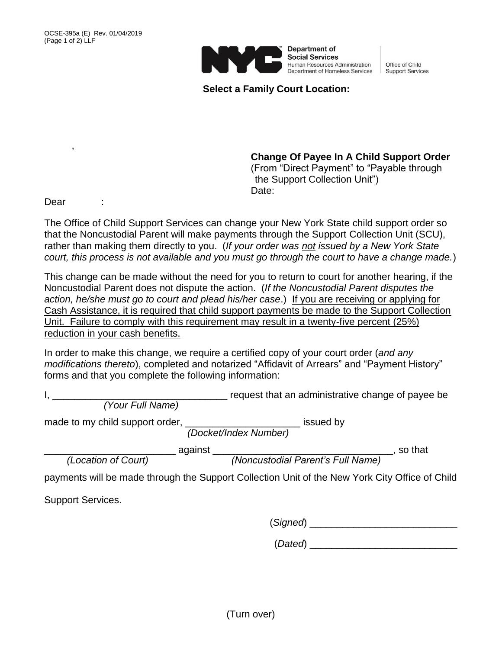

Department of **Social Services** Human Resources Administration Human Resources Administration | Office of Child<br>Department of Homeless Services | Support Services

Office of Child

**Select a Family Court Location:**

**Change Of Payee In A Child Support Order** (From "Direct Payment" to "Payable through the Support Collection Unit") Date:

Dear :

,

The Office of Child Support Services can change your New York State child support order so that the Noncustodial Parent will make payments through the Support Collection Unit (SCU), rather than making them directly to you. (*If your order was not issued by a New York State court, this process is not available and you must go through the court to have a change made.*)

This change can be made without the need for you to return to court for another hearing, if the Noncustodial Parent does not dispute the action. (*If the Noncustodial Parent disputes the action, he/she must go to court and plead his/her case*.) If you are receiving or applying for Cash Assistance, it is required that child support payments be made to the Support Collection Unit. Failure to comply with this requirement may result in a twenty-five percent (25%) reduction in your cash benefits.

In order to make this change, we require a certified copy of your court order (*and any modifications thereto*), completed and notarized "Affidavit of Arrears" and "Payment History" forms and that you complete the following information:

request that an administrative change of payee be

*(Your Full Name)*

made to my child support order, \_\_\_\_\_\_\_\_\_\_\_\_\_\_\_\_\_\_\_\_\_\_\_\_\_\_\_\_ issued by

*(Docket/Index Number)*

\_\_\_\_\_\_\_\_\_\_\_\_\_\_\_\_\_\_\_\_\_\_\_\_ against \_\_\_\_\_\_\_\_\_\_\_\_\_\_\_\_\_\_\_\_\_\_\_\_\_\_\_\_\_\_\_\_\_, so that *(Location of Court) (Noncustodial Parent's Full Name)*

payments will be made through the Support Collection Unit of the New York City Office of Child

Support Services.

(*Signed*) \_\_\_\_\_\_\_\_\_\_\_\_\_\_\_\_\_\_\_\_\_\_\_\_\_\_\_

(*Dated*) \_\_\_\_\_\_\_\_\_\_\_\_\_\_\_\_\_\_\_\_\_\_\_\_\_\_\_